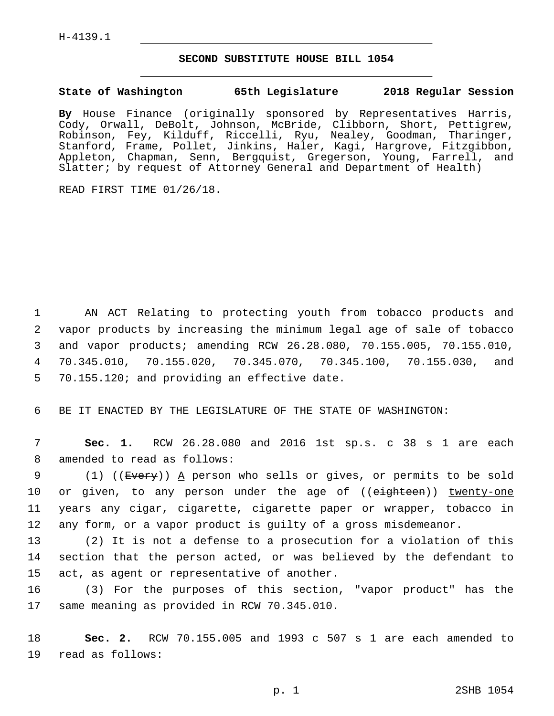H-4139.1

## **SECOND SUBSTITUTE HOUSE BILL 1054**

## **State of Washington 65th Legislature 2018 Regular Session**

**By** House Finance (originally sponsored by Representatives Harris, Cody, Orwall, DeBolt, Johnson, McBride, Clibborn, Short, Pettigrew, Robinson, Fey, Kilduff, Riccelli, Ryu, Nealey, Goodman, Tharinger, Stanford, Frame, Pollet, Jinkins, Haler, Kagi, Hargrove, Fitzgibbon, Appleton, Chapman, Senn, Bergquist, Gregerson, Young, Farrell, and Slatter; by request of Attorney General and Department of Health)

READ FIRST TIME 01/26/18.

 AN ACT Relating to protecting youth from tobacco products and vapor products by increasing the minimum legal age of sale of tobacco and vapor products; amending RCW 26.28.080, 70.155.005, 70.155.010, 70.345.010, 70.155.020, 70.345.070, 70.345.100, 70.155.030, and 5 70.155.120; and providing an effective date.

6 BE IT ENACTED BY THE LEGISLATURE OF THE STATE OF WASHINGTON:

7 **Sec. 1.** RCW 26.28.080 and 2016 1st sp.s. c 38 s 1 are each 8 amended to read as follows:

9 (1) ((Every)) A person who sells or gives, or permits to be sold 10 or given, to any person under the age of ((eighteen)) twenty-one 11 years any cigar, cigarette, cigarette paper or wrapper, tobacco in 12 any form, or a vapor product is guilty of a gross misdemeanor.

13 (2) It is not a defense to a prosecution for a violation of this 14 section that the person acted, or was believed by the defendant to 15 act, as agent or representative of another.

16 (3) For the purposes of this section, "vapor product" has the 17 same meaning as provided in RCW 70.345.010.

18 **Sec. 2.** RCW 70.155.005 and 1993 c 507 s 1 are each amended to 19 read as follows: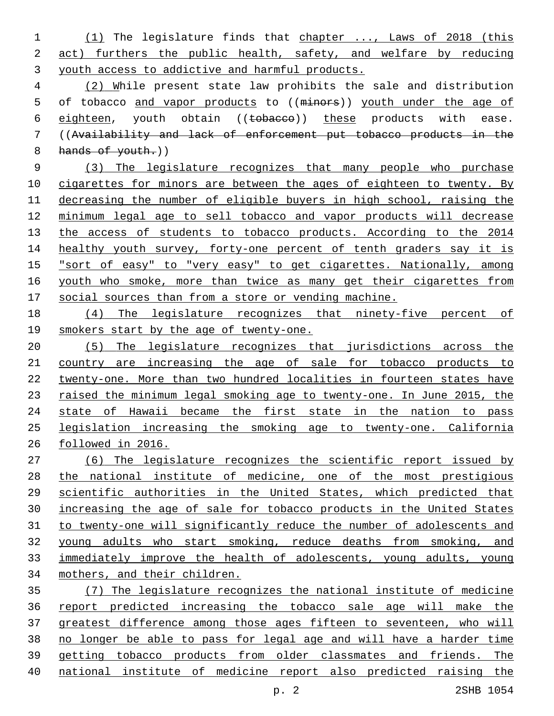(1) The legislature finds that chapter ..., Laws of 2018 (this act) furthers the public health, safety, and welfare by reducing youth access to addictive and harmful products.

 (2) While present state law prohibits the sale and distribution 5 of tobacco and vapor products to ((minors)) youth under the age of 6 eighteen, youth obtain ((tobacco)) these products with ease. ((Availability and lack of enforcement put tobacco products in the 8 hands of youth.)

 (3) The legislature recognizes that many people who purchase 10 cigarettes for minors are between the ages of eighteen to twenty. By decreasing the number of eligible buyers in high school, raising the minimum legal age to sell tobacco and vapor products will decrease 13 the access of students to tobacco products. According to the 2014 14 healthy youth survey, forty-one percent of tenth graders say it is "sort of easy" to "very easy" to get cigarettes. Nationally, among 16 youth who smoke, more than twice as many get their cigarettes from social sources than from a store or vending machine.

 (4) The legislature recognizes that ninety-five percent of smokers start by the age of twenty-one.

 (5) The legislature recognizes that jurisdictions across the country are increasing the age of sale for tobacco products to twenty-one. More than two hundred localities in fourteen states have 23 raised the minimum legal smoking age to twenty-one. In June 2015, the 24 state of Hawaii became the first state in the nation to pass legislation increasing the smoking age to twenty-one. California followed in 2016.

 (6) The legislature recognizes the scientific report issued by the national institute of medicine, one of the most prestigious scientific authorities in the United States, which predicted that increasing the age of sale for tobacco products in the United States to twenty-one will significantly reduce the number of adolescents and young adults who start smoking, reduce deaths from smoking, and immediately improve the health of adolescents, young adults, young mothers, and their children.

 (7) The legislature recognizes the national institute of medicine report predicted increasing the tobacco sale age will make the greatest difference among those ages fifteen to seventeen, who will no longer be able to pass for legal age and will have a harder time getting tobacco products from older classmates and friends. The national institute of medicine report also predicted raising the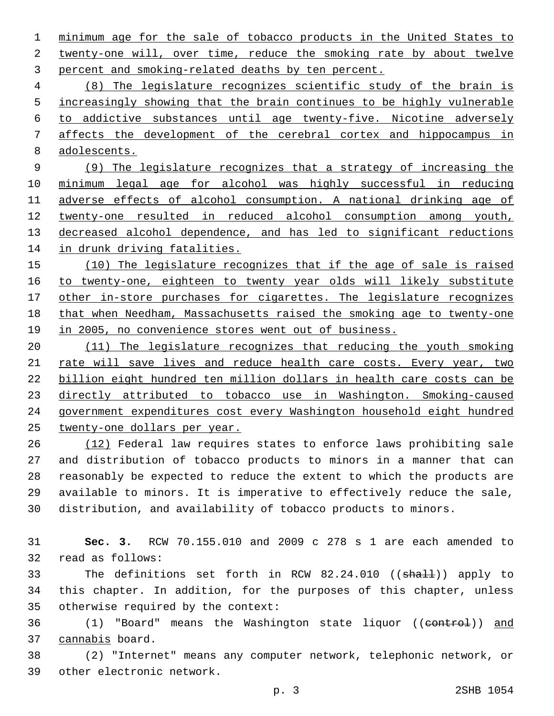minimum age for the sale of tobacco products in the United States to 2 twenty-one will, over time, reduce the smoking rate by about twelve 3 percent and smoking-related deaths by ten percent.

 (8) The legislature recognizes scientific study of the brain is 5 increasingly showing that the brain continues to be highly vulnerable to addictive substances until age twenty-five. Nicotine adversely affects the development of the cerebral cortex and hippocampus in adolescents.

 (9) The legislature recognizes that a strategy of increasing the minimum legal age for alcohol was highly successful in reducing adverse effects of alcohol consumption. A national drinking age of twenty-one resulted in reduced alcohol consumption among youth, decreased alcohol dependence, and has led to significant reductions in drunk driving fatalities.

 (10) The legislature recognizes that if the age of sale is raised to twenty-one, eighteen to twenty year olds will likely substitute 17 other in-store purchases for cigarettes. The legislature recognizes that when Needham, Massachusetts raised the smoking age to twenty-one 19 in 2005, no convenience stores went out of business.

 (11) The legislature recognizes that reducing the youth smoking 21 rate will save lives and reduce health care costs. Every year, two billion eight hundred ten million dollars in health care costs can be directly attributed to tobacco use in Washington. Smoking-caused government expenditures cost every Washington household eight hundred twenty-one dollars per year.

 (12) Federal law requires states to enforce laws prohibiting sale and distribution of tobacco products to minors in a manner that can reasonably be expected to reduce the extent to which the products are available to minors. It is imperative to effectively reduce the sale, distribution, and availability of tobacco products to minors.

 **Sec. 3.** RCW 70.155.010 and 2009 c 278 s 1 are each amended to 32 read as follows:

33 The definitions set forth in RCW 82.24.010 ((shall)) apply to this chapter. In addition, for the purposes of this chapter, unless 35 otherwise required by the context:

36 (1) "Board" means the Washington state liquor ((control)) and 37 cannabis board.

 (2) "Internet" means any computer network, telephonic network, or 39 other electronic network.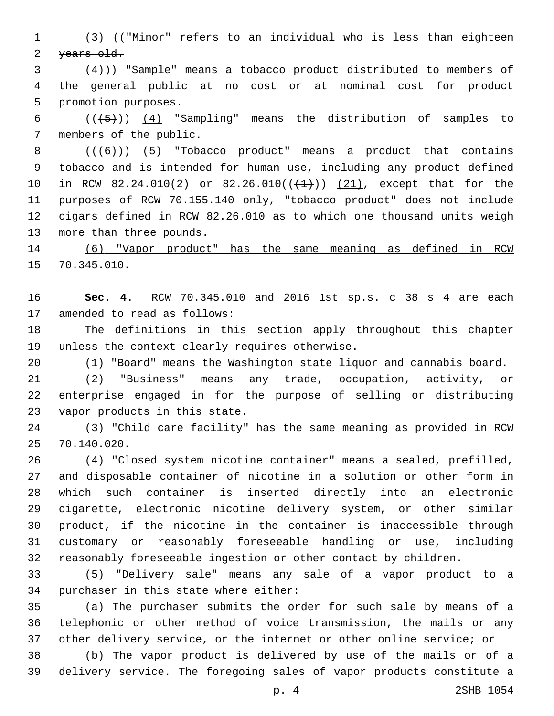(3) (("Minor" refers to an individual who is less than eighteen 2 years old.

 $(4)$ )) "Sample" means a tobacco product distributed to members of the general public at no cost or at nominal cost for product 5 promotion purposes.

6  $((+5))$   $(4)$  "Sampling" means the distribution of samples to 7 members of the public.

 $((+6))$   $(5)$  "Tobacco product" means a product that contains tobacco and is intended for human use, including any product defined 10 in RCW 82.24.010(2) or 82.26.010( $(\frac{1}{1})$ )  $(21)$ , except that for the purposes of RCW 70.155.140 only, "tobacco product" does not include cigars defined in RCW 82.26.010 as to which one thousand units weigh 13 more than three pounds.

 (6) "Vapor product" has the same meaning as defined in RCW 70.345.010.

 **Sec. 4.** RCW 70.345.010 and 2016 1st sp.s. c 38 s 4 are each 17 amended to read as follows:

 The definitions in this section apply throughout this chapter 19 unless the context clearly requires otherwise.

(1) "Board" means the Washington state liquor and cannabis board.

 (2) "Business" means any trade, occupation, activity, or enterprise engaged in for the purpose of selling or distributing 23 vapor products in this state.

 (3) "Child care facility" has the same meaning as provided in RCW 70.140.020.25

 (4) "Closed system nicotine container" means a sealed, prefilled, and disposable container of nicotine in a solution or other form in which such container is inserted directly into an electronic cigarette, electronic nicotine delivery system, or other similar product, if the nicotine in the container is inaccessible through customary or reasonably foreseeable handling or use, including reasonably foreseeable ingestion or other contact by children.

 (5) "Delivery sale" means any sale of a vapor product to a 34 purchaser in this state where either:

 (a) The purchaser submits the order for such sale by means of a telephonic or other method of voice transmission, the mails or any other delivery service, or the internet or other online service; or

 (b) The vapor product is delivered by use of the mails or of a delivery service. The foregoing sales of vapor products constitute a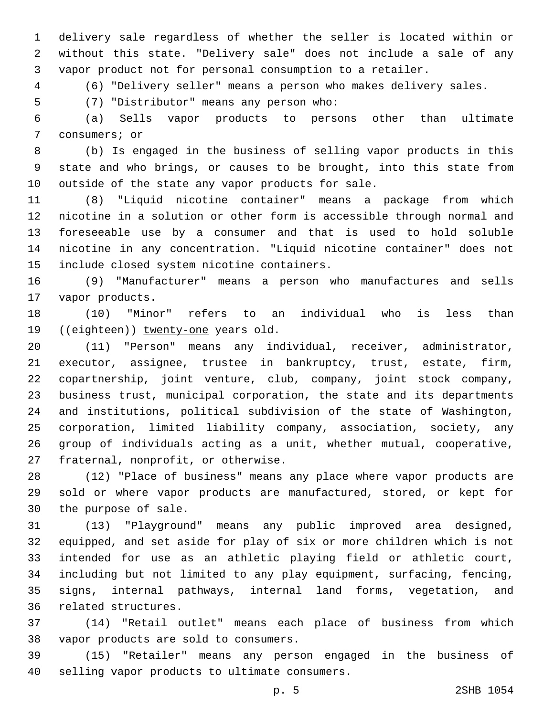delivery sale regardless of whether the seller is located within or without this state. "Delivery sale" does not include a sale of any vapor product not for personal consumption to a retailer.

(6) "Delivery seller" means a person who makes delivery sales.

(7) "Distributor" means any person who:5

 (a) Sells vapor products to persons other than ultimate 7 consumers; or

 (b) Is engaged in the business of selling vapor products in this state and who brings, or causes to be brought, into this state from 10 outside of the state any vapor products for sale.

 (8) "Liquid nicotine container" means a package from which nicotine in a solution or other form is accessible through normal and foreseeable use by a consumer and that is used to hold soluble nicotine in any concentration. "Liquid nicotine container" does not 15 include closed system nicotine containers.

 (9) "Manufacturer" means a person who manufactures and sells 17 vapor products.

 (10) "Minor" refers to an individual who is less than 19 ((eighteen)) twenty-one years old.

 (11) "Person" means any individual, receiver, administrator, executor, assignee, trustee in bankruptcy, trust, estate, firm, copartnership, joint venture, club, company, joint stock company, business trust, municipal corporation, the state and its departments and institutions, political subdivision of the state of Washington, corporation, limited liability company, association, society, any group of individuals acting as a unit, whether mutual, cooperative, 27 fraternal, nonprofit, or otherwise.

 (12) "Place of business" means any place where vapor products are sold or where vapor products are manufactured, stored, or kept for 30 the purpose of sale.

 (13) "Playground" means any public improved area designed, equipped, and set aside for play of six or more children which is not intended for use as an athletic playing field or athletic court, including but not limited to any play equipment, surfacing, fencing, signs, internal pathways, internal land forms, vegetation, and 36 related structures.

 (14) "Retail outlet" means each place of business from which 38 vapor products are sold to consumers.

 (15) "Retailer" means any person engaged in the business of 40 selling vapor products to ultimate consumers.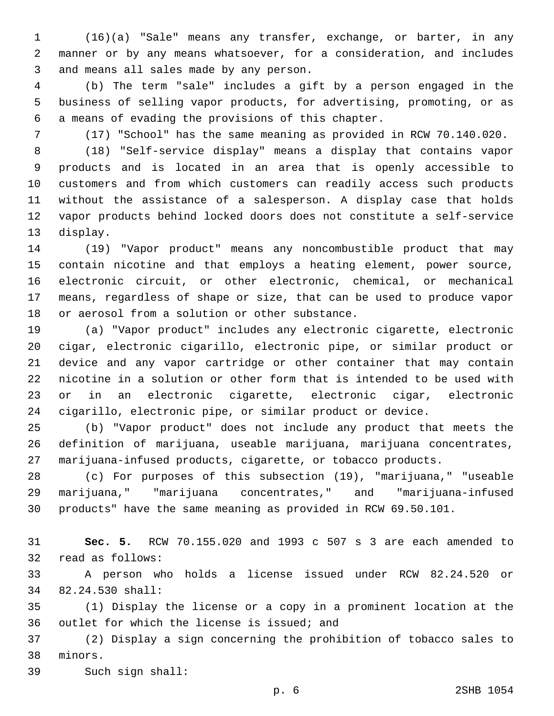(16)(a) "Sale" means any transfer, exchange, or barter, in any manner or by any means whatsoever, for a consideration, and includes 3 and means all sales made by any person.

 (b) The term "sale" includes a gift by a person engaged in the business of selling vapor products, for advertising, promoting, or as 6 a means of evading the provisions of this chapter.

(17) "School" has the same meaning as provided in RCW 70.140.020.

 (18) "Self-service display" means a display that contains vapor products and is located in an area that is openly accessible to customers and from which customers can readily access such products without the assistance of a salesperson. A display case that holds vapor products behind locked doors does not constitute a self-service 13 display.

 (19) "Vapor product" means any noncombustible product that may contain nicotine and that employs a heating element, power source, electronic circuit, or other electronic, chemical, or mechanical means, regardless of shape or size, that can be used to produce vapor 18 or aerosol from a solution or other substance.

 (a) "Vapor product" includes any electronic cigarette, electronic cigar, electronic cigarillo, electronic pipe, or similar product or device and any vapor cartridge or other container that may contain nicotine in a solution or other form that is intended to be used with or in an electronic cigarette, electronic cigar, electronic cigarillo, electronic pipe, or similar product or device.

 (b) "Vapor product" does not include any product that meets the definition of marijuana, useable marijuana, marijuana concentrates, marijuana-infused products, cigarette, or tobacco products.

 (c) For purposes of this subsection (19), "marijuana," "useable marijuana," "marijuana concentrates," and "marijuana-infused products" have the same meaning as provided in RCW 69.50.101.

 **Sec. 5.** RCW 70.155.020 and 1993 c 507 s 3 are each amended to 32 read as follows:

 A person who holds a license issued under RCW 82.24.520 or 82.24.530 shall:34

 (1) Display the license or a copy in a prominent location at the 36 outlet for which the license is issued; and

 (2) Display a sign concerning the prohibition of tobacco sales to 38 minors.

39 Such sign shall: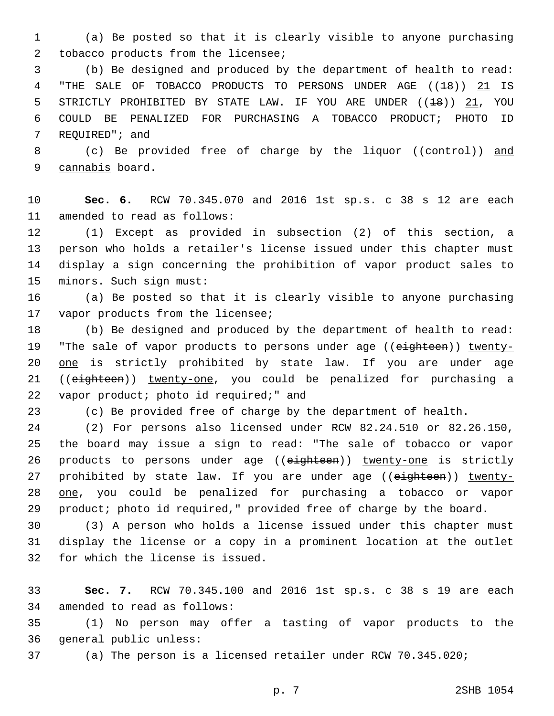1 (a) Be posted so that it is clearly visible to anyone purchasing 2 tobacco products from the licensee;

3 (b) Be designed and produced by the department of health to read: 4 "THE SALE OF TOBACCO PRODUCTS TO PERSONS UNDER AGE ((18)) 21 IS 5 STRICTLY PROHIBITED BY STATE LAW. IF YOU ARE UNDER ((<del>18</del>)) 21, YOU 6 COULD BE PENALIZED FOR PURCHASING A TOBACCO PRODUCT; PHOTO ID 7 REQUIRED"; and

8 (c) Be provided free of charge by the liquor ((control)) and 9 cannabis board.

10 **Sec. 6.** RCW 70.345.070 and 2016 1st sp.s. c 38 s 12 are each 11 amended to read as follows:

 (1) Except as provided in subsection (2) of this section, a person who holds a retailer's license issued under this chapter must display a sign concerning the prohibition of vapor product sales to 15 minors. Such sign must:

16 (a) Be posted so that it is clearly visible to anyone purchasing 17 vapor products from the licensee;

18 (b) Be designed and produced by the department of health to read: 19 "The sale of vapor products to persons under age ((eighteen)) twenty-20 one is strictly prohibited by state law. If you are under age 21 ((eighteen)) twenty-one, you could be penalized for purchasing a 22 vapor product; photo id required;" and

23 (c) Be provided free of charge by the department of health.

 (2) For persons also licensed under RCW 82.24.510 or 82.26.150, the board may issue a sign to read: "The sale of tobacco or vapor 26 products to persons under age ((eighteen)) twenty-one is strictly 27 prohibited by state law. If you are under age ((eighteen)) twenty- one, you could be penalized for purchasing a tobacco or vapor product; photo id required," provided free of charge by the board.

30 (3) A person who holds a license issued under this chapter must 31 display the license or a copy in a prominent location at the outlet 32 for which the license is issued.

33 **Sec. 7.** RCW 70.345.100 and 2016 1st sp.s. c 38 s 19 are each 34 amended to read as follows:

35 (1) No person may offer a tasting of vapor products to the 36 general public unless:

37 (a) The person is a licensed retailer under RCW 70.345.020;

p. 7 2SHB 1054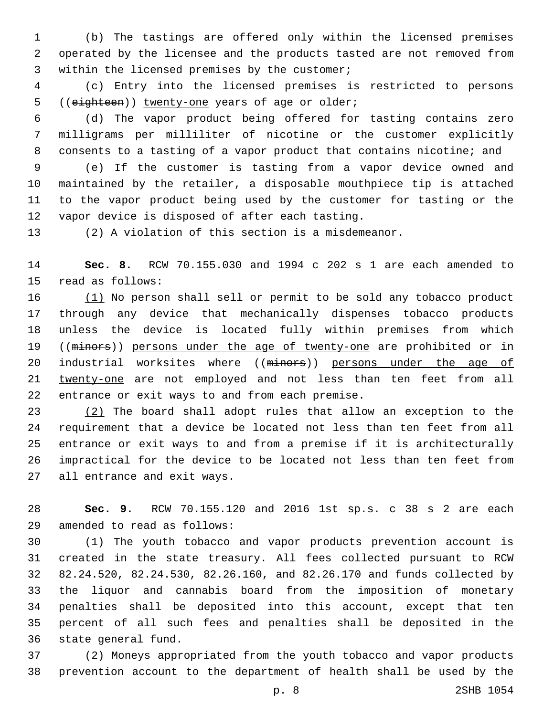(b) The tastings are offered only within the licensed premises operated by the licensee and the products tasted are not removed from 3 within the licensed premises by the customer;

 (c) Entry into the licensed premises is restricted to persons 5 ((eighteen)) twenty-one years of age or older;

 (d) The vapor product being offered for tasting contains zero milligrams per milliliter of nicotine or the customer explicitly consents to a tasting of a vapor product that contains nicotine; and

 (e) If the customer is tasting from a vapor device owned and maintained by the retailer, a disposable mouthpiece tip is attached to the vapor product being used by the customer for tasting or the 12 vapor device is disposed of after each tasting.

(2) A violation of this section is a misdemeanor.

 **Sec. 8.** RCW 70.155.030 and 1994 c 202 s 1 are each amended to 15 read as follows:

 (1) No person shall sell or permit to be sold any tobacco product through any device that mechanically dispenses tobacco products unless the device is located fully within premises from which 19 ((minors)) persons under the age of twenty-one are prohibited or in 20 industrial worksites where ((minors)) persons under the age of twenty-one are not employed and not less than ten feet from all 22 entrance or exit ways to and from each premise.

 (2) The board shall adopt rules that allow an exception to the requirement that a device be located not less than ten feet from all entrance or exit ways to and from a premise if it is architecturally impractical for the device to be located not less than ten feet from 27 all entrance and exit ways.

 **Sec. 9.** RCW 70.155.120 and 2016 1st sp.s. c 38 s 2 are each amended to read as follows:29

 (1) The youth tobacco and vapor products prevention account is created in the state treasury. All fees collected pursuant to RCW 82.24.520, 82.24.530, 82.26.160, and 82.26.170 and funds collected by the liquor and cannabis board from the imposition of monetary penalties shall be deposited into this account, except that ten percent of all such fees and penalties shall be deposited in the 36 state general fund.

 (2) Moneys appropriated from the youth tobacco and vapor products prevention account to the department of health shall be used by the